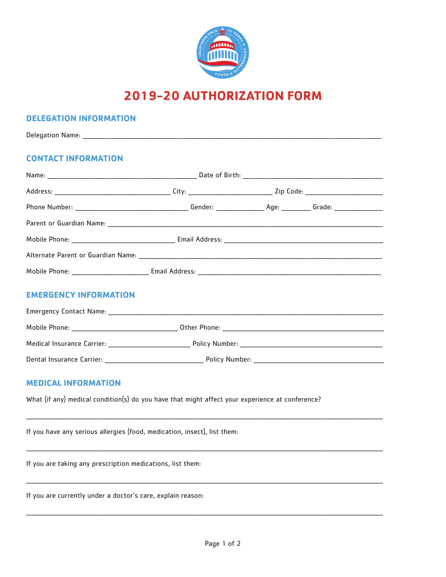

# **2019-20 AUTHORIZATION FORM**

## **DELEGATION INFORMATION**

# **CONTACT INFORMATION**

| Mobile Phone: | Email Address: |  |  |  |
|---------------|----------------|--|--|--|

# **EMERGENCY INFORMATION**

| <b>Emergency Contact Name:</b> |                |  |
|--------------------------------|----------------|--|
| Mobile Phone:                  | Other Phone:   |  |
| Medical Insurance Carrier:     | Policy Number: |  |
| Dental Insurance Carrier:      | Policy Number: |  |

# **MEDICAL INFORMATION**

What (if any) medical condition(s) do you have that might affect your experience at conference?

If you have any serious allergies (food, medication, insect), list them:

If you are taking any prescription medications, list them:

If you are currently under a doctor's care, explain reason: